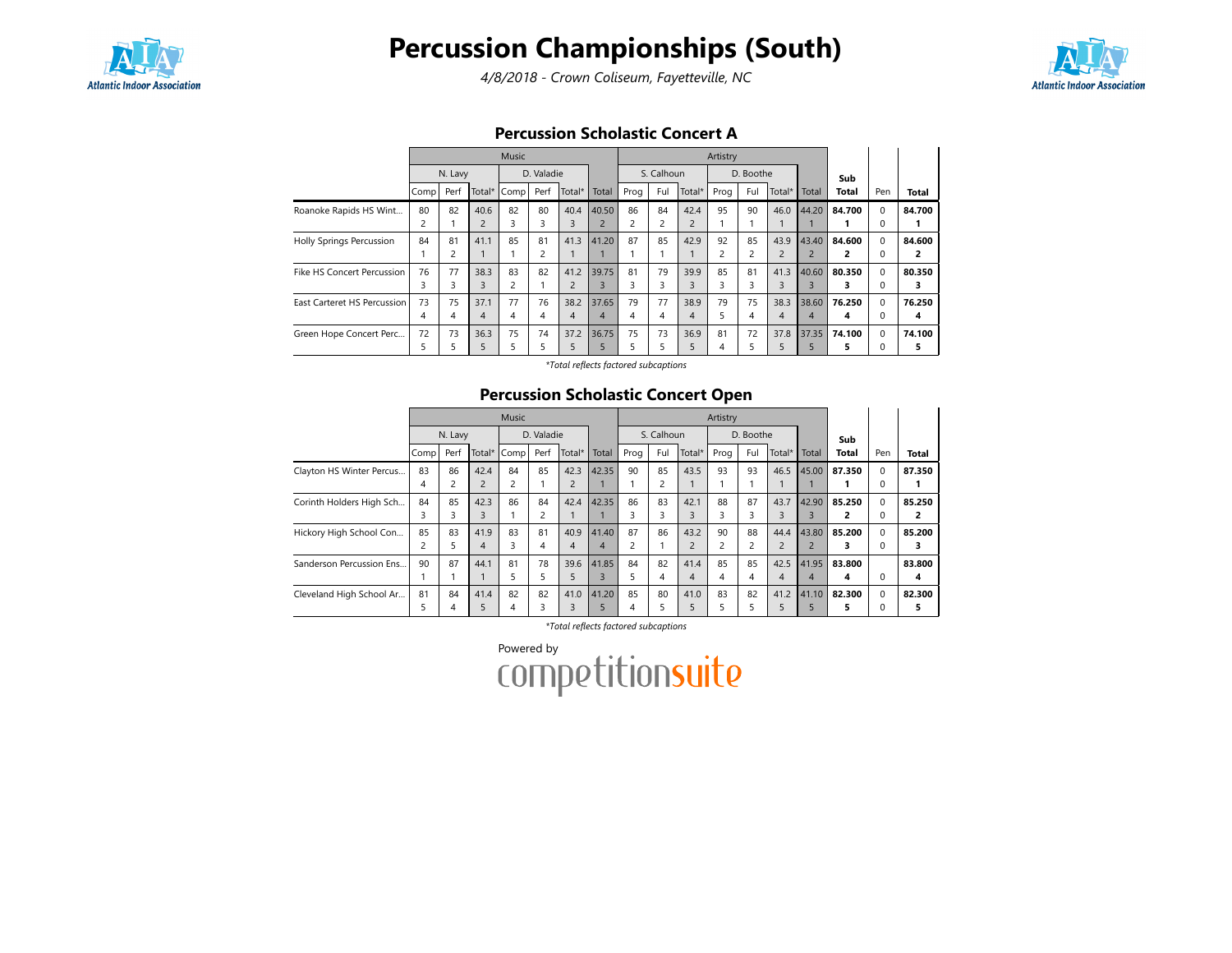

# Percussion Championships (South)

4/8/2018 - Crown Coliseum, Fayetteville, NC



### Percussion Scholastic Concert A

|                             |      |                |                | Music |                |        |                |      |                |                | Artistry       |                |                |                |              |          |        |
|-----------------------------|------|----------------|----------------|-------|----------------|--------|----------------|------|----------------|----------------|----------------|----------------|----------------|----------------|--------------|----------|--------|
|                             |      | N. Lavy        |                |       | D. Valadie     |        |                |      | S. Calhoun     |                |                | D. Boothe      |                |                | Sub          |          |        |
|                             | Comp | Perf           | Total*         | Comp  | Perf           | Total* | Total          | Prog | Ful            | Total*         | Prog           | Ful            | Total*         | Total          | <b>Total</b> | Pen      | Total  |
| Roanoke Rapids HS Wint      | 80   | 82             | 40.6           | 82    | 80             | 40.4   | 40.50          | 86   | 84             | 42.4           | 95             | 90             | 46.0           | 44.20          | 84.700       | $\Omega$ | 84.700 |
|                             |      |                | $\overline{2}$ |       | 3              | 3      | $\overline{2}$ |      | $\overline{c}$ | $\overline{2}$ |                |                |                |                |              | 0        |        |
| Holly Springs Percussion    | 84   | 81             | 41.1           | 85    | 81             | 41.3   | 41.20          | 87   | 85             | 42.9           | 92             | 85             | 43.9           | 43.40          | 84.600       | $\Omega$ | 84.600 |
|                             |      | $\overline{c}$ |                |       | $\overline{c}$ |        |                |      |                |                | $\overline{a}$ | $\overline{c}$ | $\overline{2}$ | $\overline{2}$ | 2            | $\Omega$ | 2      |
| Fike HS Concert Percussion  | 76   | 77             | 38.3           | 83    | 82             | 41.2   | 39.75          | 81   | 79             | 39.9           | 85             | 81             | 41.3           | 40.60          | 80.350       | $\Omega$ | 80.350 |
|                             | 3    | 3              | 3              | 2     |                |        | 3              | 3    | 3              | 3              | 3              |                | 3              | 3              | 3            | $\Omega$ |        |
| East Carteret HS Percussion | 73   | 75             | 37.1           | 77    | 76             | 38.2   | 37.65          | 79   | 77             | 38.9           | 79             | 75             | 38.3           | 38.60          | 76.250       | $\Omega$ | 76.250 |
|                             | 4    | 4              | $\overline{4}$ | 4     | 4              | 4      | $\overline{4}$ | 4    | 4              | 4              | 5.             | 4              | 4              | 4              | 4            | $\Omega$ | 4      |
| Green Hope Concert Perc     | 72   | 73             | 36.3           | 75    | 74             | 37.2   | 36.75          | 75   | 73             | 36.9           | 81             | 72             | 37.8           | 37.35          | 74.100       | $\Omega$ | 74.100 |
|                             | 5    | 5              | 5              | 5     |                | 5      | 5              | 5    | 5              | 5              | 4              | 5              | 5              | 5              | 5            | $\Omega$ | 5      |

\*Total reflects factored subcaptions

## Percussion Scholastic Concert Open

|                          |                   |         |                | <b>Music</b> |            |                |       |                |                |                | Artistry |           |                |                |              |          |        |
|--------------------------|-------------------|---------|----------------|--------------|------------|----------------|-------|----------------|----------------|----------------|----------|-----------|----------------|----------------|--------------|----------|--------|
|                          |                   | N. Lavy |                |              | D. Valadie |                |       |                | S. Calhoun     |                |          | D. Boothe |                |                | Sub          |          |        |
|                          | Comp <sup>1</sup> | Perf    | Total $*$      | Comp         | Perf       | Total*         | Total | Prog           | Ful            | Total*         | Prog     | Ful       | Total*         | Total          | <b>Total</b> | Pen      | Total  |
| Clayton HS Winter Percus | 83                | 86      | 42.4           | 84           | 85         | 42.3           | 42.35 | 90             | 85             | 43.5           | 93       | 93        | 46.5           | 45.00          | 87.350       | 0        | 87.350 |
|                          | 4                 | 2       | $\overline{2}$ |              |            | $\overline{2}$ |       |                | $\overline{c}$ |                |          |           |                |                |              | 0        |        |
| Corinth Holders High Sch | 84                | 85      | 42.3           | 86           | 84         | 42.4           | 42.35 | 86             | 83             | 42.1           | 88       | 87        | 43.7           | 42.90          | 85.250       | 0        | 85.250 |
|                          | 3                 | 3       | 3              |              | 2          |                |       | 3              | 3              | 3              | 3        | 3         | 3              | 3              | 2            | 0        | 2      |
| Hickory High School Con  | 85                | 83      | 41.9           | 83           | 81         | 40.9           | 41.40 | 87             | 86             | 43.2           | 90       | 88        | 44.4           | 43.80          | 85.200       | $\Omega$ | 85.200 |
|                          | 2                 | 5       | 4              | 3            | 4          | $\overline{4}$ | 4     | $\overline{c}$ |                | $\overline{2}$ |          | 2         | $\overline{2}$ | $\overline{2}$ | з            | 0        | 3      |
| Sanderson Percussion Ens | 90                | 87      | 44.1           | 81           | 78         | 39.6           | 41.85 | 84             | 82             | 41.4           | 85       | 85        | 42.5           | 41.95          | 83.800       |          | 83.800 |
|                          |                   |         |                | 5            | 5          | 5              | 3     | 5              | 4              | $\overline{4}$ | 4        | 4         | 4              | $\overline{4}$ | 4            | 0        | 4      |
| Cleveland High School Ar | 81                | 84      | 41.4           | 82           | 82         | 41.0           | 41.20 | 85             | 80             | 41.0           | 83       | 82        | 41.2           | 41.10          | 82.300       | 0        | 82.300 |
|                          | 5                 | 4       | 5              | 4            | 3          | 3              | 5     | 4              | 5              | 5              | 5        | 5         | 5              | 5              | 5            | 0        | 5      |

\*Total reflects factored subcaptions

Powered by<br>COMPetitionsuite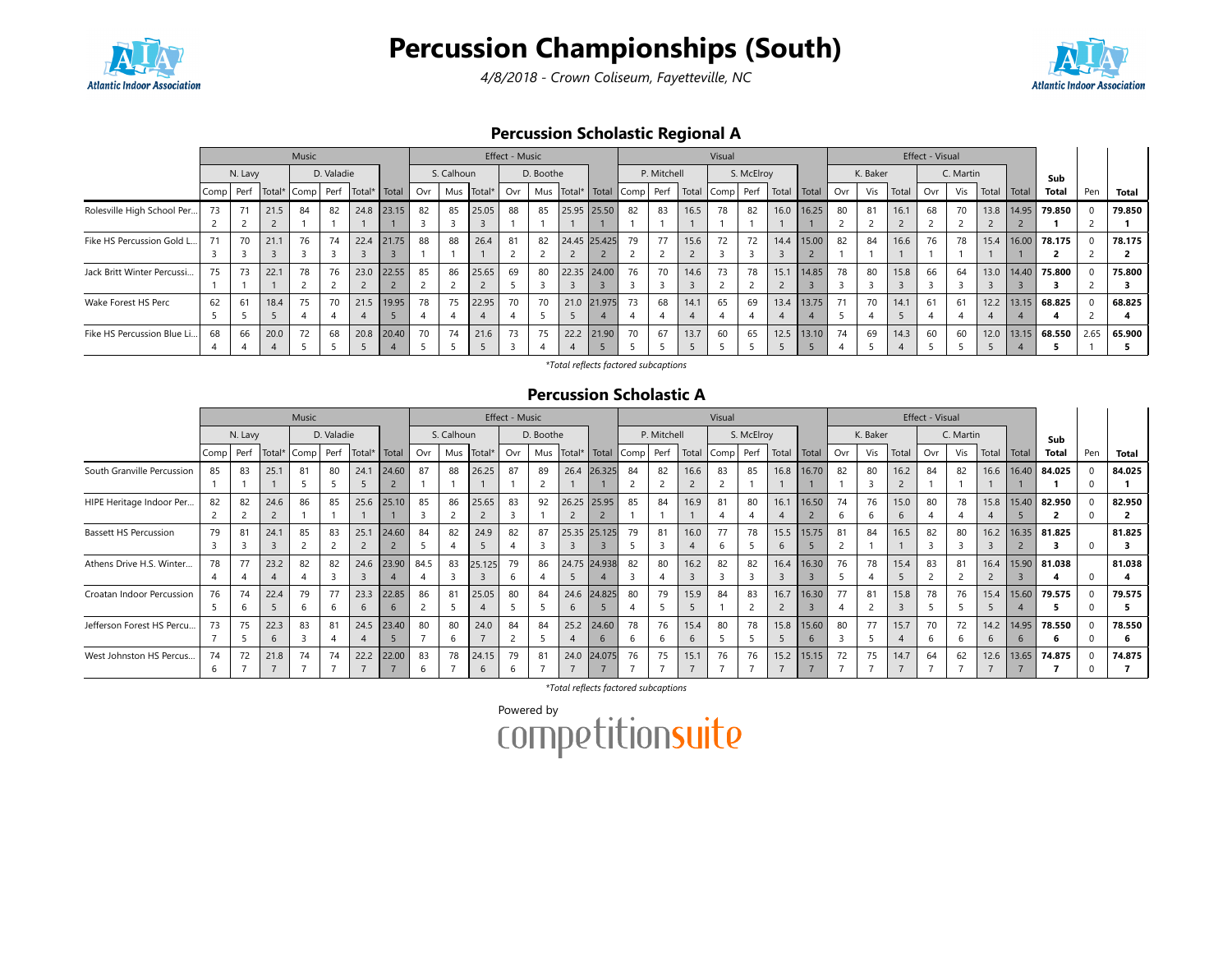

# Percussion Championships (South)

4/8/2018 - Crown Coliseum, Fayetteville, NC



## Percussion Scholastic Regional A

|                            |       |         |             | Music                  |            |      |       |     |            |            | Effect - Music |           |      |              |    |             |                                             | Visual |            |                      |            |     |          |       | Effect - Visual |           |       |              |                   |      |        |
|----------------------------|-------|---------|-------------|------------------------|------------|------|-------|-----|------------|------------|----------------|-----------|------|--------------|----|-------------|---------------------------------------------|--------|------------|----------------------|------------|-----|----------|-------|-----------------|-----------|-------|--------------|-------------------|------|--------|
|                            |       | N. Lavy |             |                        | D. Valadie |      |       |     | S. Calhoun |            |                | D. Boothe |      |              |    | P. Mitchell |                                             |        | S. McElroy |                      |            |     | K. Baker |       |                 | C. Martin |       |              | Sub               |      |        |
|                            | Comp1 |         | Perf Total* | Comp Perf Total* Total |            |      |       | Ovr |            | Mus Total* | Ovr            |           |      |              |    |             | Mus Total*   Total Comp   Perf   Total Comp |        |            | Perf   Total   Total |            | Ovr | Vis      | Total | Ovr             | Vis       | Total | Total        | <b>Total</b>      | Pen  | Total  |
| Rolesville High School Per | 73    | 71      | 21.5        | 84                     | 82         | 24.8 | 23.15 | 82  | 85         | 25.05      | 88             | 85        |      | 25.95 25.50  | 82 | 83          | 16.5                                        | 78     | 82         | 16.0                 | 16.25      | 80  | 81       | 16.1  | 68              | 70        |       | 13.8   14.95 | 79.850            |      | 79.850 |
|                            |       |         |             |                        |            |      |       |     |            |            |                |           |      |              |    |             |                                             |        |            |                      |            |     |          |       |                 |           |       |              |                   |      |        |
| Fike HS Percussion Gold L  | 71    | 70      | 21.1        | 76                     | 74         | 22.4 | 21.75 | 88  | 88         | 26.4       | 81             | 82        |      | 24.45 25.425 | 79 | 77          | 15.6                                        | 72     | 72         |                      | 14.4 15.00 | 82  | 84       | 16.6  | 76              | 78        |       |              | 15.4 16.00 78.175 | -0   | 78.175 |
|                            |       |         |             |                        |            |      |       |     |            |            |                |           |      |              |    |             |                                             |        |            |                      |            |     |          |       |                 |           |       |              |                   |      |        |
| Jack Britt Winter Percussi | 75    | 73      | 22.1        | 78                     | 76         | 23.0 | 22.55 | 85  | 86         | 25.65      | 69             | 80        |      | 22.35 24.00  | 76 | 70          | 14.6                                        | 73     | 78         | 15.1                 | 14.85      | 78  | 80       | 15.8  | 66              | 64        |       |              | 13.0 14.40 75.800 |      | 75.800 |
|                            |       |         |             |                        |            |      |       |     |            |            |                |           |      |              |    |             |                                             |        |            |                      |            |     |          |       |                 |           |       |              |                   |      |        |
| Wake Forest HS Perc        | 62    | 61      | 18.4        | 75                     | 70         | 21.5 | 19.95 | 78  | 75         | 22.95      | 70             | 70        |      | 21.0 21.975  | 73 | 68          | 14.1                                        | 65     | 69         | 13.4                 | 13.75      | 71  | 70       | 14.1  | 61              | 61        |       |              | 12.2 13.15 68.825 |      | 68.825 |
|                            |       |         |             |                        |            |      |       |     |            |            |                |           |      |              |    |             |                                             |        |            |                      |            |     |          |       |                 |           |       |              |                   |      |        |
| Fike HS Percussion Blue Li | 68    | 66      | 20.0        | 72                     | 68         | 20.8 | 20.40 | 70  | 74         | 21.6       | 73             | 75        | 22.2 | 21.90        | 70 | 67          | 13.7                                        | 60     | 65         | 12.5                 | 13.10      | 74  | 69       | 14.3  | 60              | 60        |       |              | 12.0 13.15 68.550 | 2.65 | 65.900 |
|                            |       |         |             |                        |            |      |       |     |            |            |                |           |      |              |    |             |                                             |        |            |                      |            |     |          |       |                 |           |       |              |                   |      |        |

\*Total reflects factored subcaptions

#### Percussion Scholastic A

|                              |      |         |        | Music                  |            |      |            |      |            |            | Effect - Music |           |                                    |              |    |             |       | Visual |            |                           |       |              |              |       | Effect - Visual |           |       |              |                |     |        |
|------------------------------|------|---------|--------|------------------------|------------|------|------------|------|------------|------------|----------------|-----------|------------------------------------|--------------|----|-------------|-------|--------|------------|---------------------------|-------|--------------|--------------|-------|-----------------|-----------|-------|--------------|----------------|-----|--------|
|                              |      | N. Lavy |        |                        | D. Valadie |      |            |      | S. Calhoun |            |                | D. Boothe |                                    |              |    | P. Mitchell |       |        | S. McElroy |                           |       |              | K. Baker     |       |                 | C. Martin |       |              | Sub            |     |        |
|                              | Comp | Perf    | Total* | Comp Perf Total* Total |            |      |            | Ovr  |            | Mus Total* | Ovr            |           | Mus   Total*   Total   Comp   Perf |              |    |             | Total |        |            | Comp Perf   Total   Total |       | Ovr          | Vis          | Total | Ovr             | Vis       | Total | <b>Total</b> | Total          | Pen | Total  |
| South Granville Percussion   | 85   | 83      | 25.1   | 81                     | 80         | 24.1 | 24.60      | 87   | 88         | 26.25      | 87             | 89        |                                    | 26.4 26.325  | 84 | 82          | 16.6  | 83     | 85         | 16.8                      | 16.70 | 82           | 80           | 16.2  | 84              | 82        | 16.6  | 16.40        | 84.025         |     | 84.025 |
|                              |      |         |        |                        |            |      |            |      |            |            |                |           |                                    |              |    |             |       |        |            |                           |       |              |              |       |                 |           |       |              |                |     |        |
| HIPE Heritage Indoor Per     | 82   | 82      | 24.6   | 86                     | 85         | 25.6 | 25.10      | 85   | 86         | 25.65      | 83             | 92        |                                    | 26.25 25.95  | 85 | 84          | 16.9  | 81     | 80         | 16.1                      | 16.50 | 74           | 76           | 15.0  | 80              | 78        | 15.8  | 15.40        | 82.950         |     | 82.950 |
|                              |      |         |        |                        |            |      |            |      |            |            |                |           |                                    |              |    |             |       |        |            |                           |       | <sub>b</sub> | <sub>6</sub> | 6     |                 |           |       |              |                |     |        |
| <b>Bassett HS Percussion</b> | 79   | 81      | 24.1   | 85                     | 83         | 25.1 | 24.60      | 84   | 82         | 24.9       | 82             | 87        |                                    | 25.35 25.125 | 79 | 81          | 16.0  | 77     | 78         | 15.5                      | 15.75 | 81           | 84           | 16.5  | 82              | 80        | 16.2  |              | 16.35 81.825   |     | 81.825 |
|                              |      |         |        |                        |            |      |            |      |            |            |                |           |                                    |              |    |             |       |        |            | $\mathfrak b$             |       |              |              |       |                 |           |       |              |                |     |        |
| Athens Drive H.S. Winter     | 78   | 77      | 23.2   | 82                     | 82         |      | 24.6 23.90 | 84.5 | 83         | 25.125     | 79             | 86        |                                    | 24.75 24.938 | 82 | 80          | 16.2  | 82     | 82         | 16.4                      | 16.30 | 76           | 78           | 15.4  | 83              | 81        | 16.4  |              | $15.90$ 81.038 |     | 81.038 |
|                              |      |         |        |                        |            |      |            |      |            |            |                |           |                                    |              |    |             |       |        |            |                           |       |              |              |       |                 |           |       |              | 4              |     |        |
| Croatan Indoor Percussion    | 76   | 74      | 22.4   | 79                     | 77         | 23.3 | 22.85      | 86   | 81         | 25.05      | 80             | 84        |                                    | 24.6 24.825  | 80 | 79          | 15.9  | 84     | 83         | 16.7                      | 16.30 | 77           | 81           | 15.8  | 78              | 76        | 15.4  | 15.60        | 79.575         |     | 79.575 |
|                              |      | h       |        |                        |            |      |            |      |            |            |                |           |                                    |              |    |             |       |        |            |                           |       |              |              |       |                 |           |       |              | 5.             |     |        |
| Jefferson Forest HS Percu    | 73   | 75      | 22.3   | 83                     | 81         | 24.5 | 23.40      | 80   | 80         | 24.0       | 84             | 84        | 25.2                               | 24.60        | 78 | 76          | 15.4  | 80     | 78         | 15.8                      | 15.60 | 80           | 77           | 15.7  | 70              | 72        | 14.2  | 14.95        | 78.550         |     | 78.550 |
|                              |      |         |        |                        |            |      |            |      | h          |            |                |           |                                    |              |    | -6          | 6     |        |            |                           |       |              |              |       |                 |           |       |              | 6              |     |        |
| West Johnston HS Percus      | 74   | 72      | 21.8   | 74                     | 74         | 22.2 | 22.00      | 83   | 78         | 24.15      | 79             | 81        | 24.0                               | 24.075       | 76 | 75          | 15.1  | 76     | 76         | 15.2                      | 15.15 | 72           | 75           | 14.7  | 64              | 62        | 12.6  | 13.65        | 74.875         |     | 74.875 |
|                              |      |         |        |                        |            |      |            |      |            |            |                |           |                                    |              |    |             |       |        |            |                           |       |              |              |       |                 |           |       |              |                |     |        |

\*Total reflects factored subcaptions

Powered by<br>COMPETitionsuite